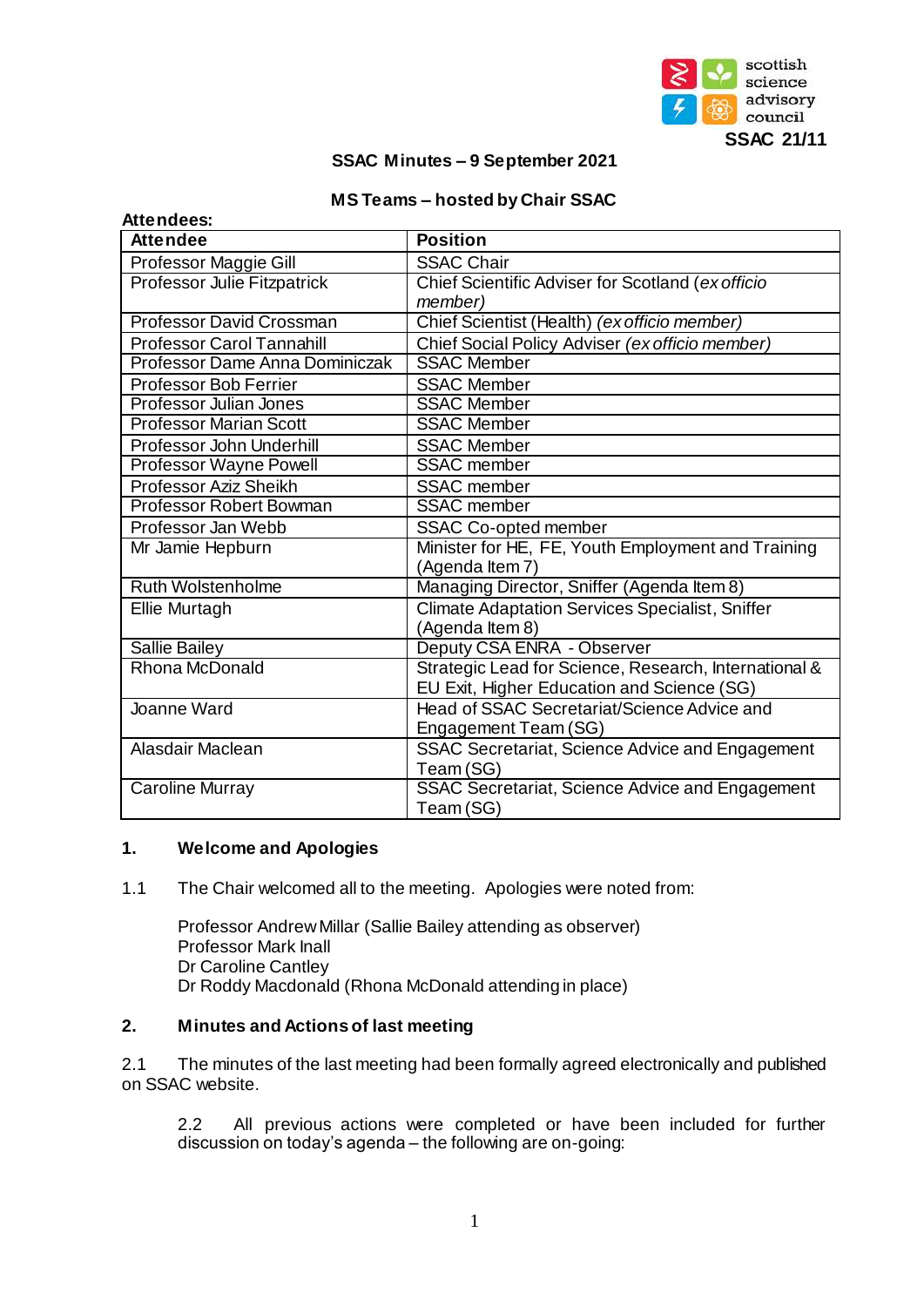

# **SSAC Minutes – 9 September 2021**

# **MS Teams – hosted by Chair SSAC**

| Attendees:                       |                                                        |  |  |
|----------------------------------|--------------------------------------------------------|--|--|
| <b>Attendee</b>                  | <b>Position</b>                                        |  |  |
| Professor Maggie Gill            | <b>SSAC Chair</b>                                      |  |  |
| Professor Julie Fitzpatrick      | Chief Scientific Adviser for Scotland (ex officio      |  |  |
|                                  | member)                                                |  |  |
| <b>Professor David Crossman</b>  | Chief Scientist (Health) (ex officio member)           |  |  |
| <b>Professor Carol Tannahill</b> | Chief Social Policy Adviser (ex officio member)        |  |  |
| Professor Dame Anna Dominiczak   | <b>SSAC Member</b>                                     |  |  |
| <b>Professor Bob Ferrier</b>     | <b>SSAC Member</b>                                     |  |  |
| Professor Julian Jones           | <b>SSAC Member</b>                                     |  |  |
| <b>Professor Marian Scott</b>    | <b>SSAC Member</b>                                     |  |  |
| Professor John Underhill         | <b>SSAC Member</b>                                     |  |  |
| Professor Wayne Powell           | <b>SSAC</b> member                                     |  |  |
| Professor Aziz Sheikh            | <b>SSAC</b> member                                     |  |  |
| Professor Robert Bowman          | <b>SSAC</b> member                                     |  |  |
| Professor Jan Webb               | <b>SSAC Co-opted member</b>                            |  |  |
| Mr Jamie Hepburn                 | Minister for HE, FE, Youth Employment and Training     |  |  |
|                                  | (Agenda Item 7)                                        |  |  |
| <b>Ruth Wolstenholme</b>         | Managing Director, Sniffer (Agenda Item 8)             |  |  |
| <b>Ellie Murtagh</b>             | <b>Climate Adaptation Services Specialist, Sniffer</b> |  |  |
|                                  | (Agenda Item 8)                                        |  |  |
| Sallie Bailey                    | Deputy CSA ENRA - Observer                             |  |  |
| Rhona McDonald                   | Strategic Lead for Science, Research, International &  |  |  |
|                                  | EU Exit, Higher Education and Science (SG)             |  |  |
| Joanne Ward                      | Head of SSAC Secretariat/Science Advice and            |  |  |
|                                  | Engagement Team (SG)                                   |  |  |
| Alasdair Maclean                 | SSAC Secretariat, Science Advice and Engagement        |  |  |
|                                  | Team (SG)                                              |  |  |
| <b>Caroline Murray</b>           | SSAC Secretariat, Science Advice and Engagement        |  |  |
|                                  | Team (SG)                                              |  |  |

# **1. Welcome and Apologies**

1.1 The Chair welcomed all to the meeting. Apologies were noted from:

Professor Andrew Millar (Sallie Bailey attending as observer) Professor Mark Inall Dr Caroline Cantley Dr Roddy Macdonald (Rhona McDonald attending in place)

# **2. Minutes and Actions of last meeting**

2.1 The minutes of the last meeting had been formally agreed electronically and published on SSAC website.

2.2 All previous actions were completed or have been included for further discussion on today's agenda – the following are on-going: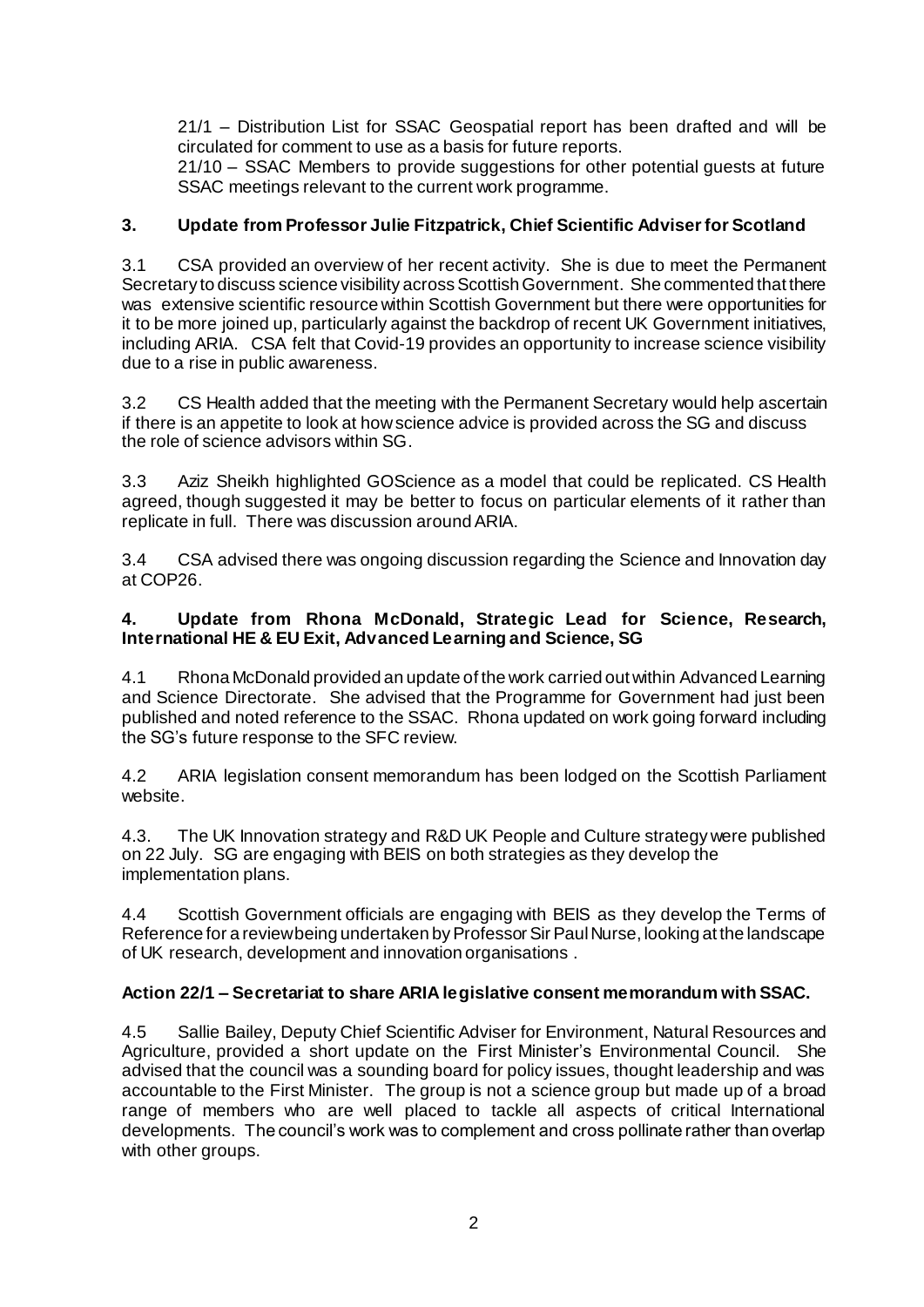21/1 – Distribution List for SSAC Geospatial report has been drafted and will be circulated for comment to use as a basis for future reports.

21/10 – SSAC Members to provide suggestions for other potential guests at future SSAC meetings relevant to the current work programme.

# **3. Update from Professor Julie Fitzpatrick, Chief Scientific Adviser for Scotland**

3.1 CSA provided an overview of her recent activity. She is due to meet the Permanent Secretary to discuss science visibility across Scottish Government. She commented that there was extensive scientific resource within Scottish Government but there were opportunities for it to be more joined up, particularly against the backdrop of recent UK Government initiatives, including ARIA. CSA felt that Covid-19 provides an opportunity to increase science visibility due to a rise in public awareness.

3.2 CS Health added that the meeting with the Permanent Secretary would help ascertain if there is an appetite to look at how science advice is provided across the SG and discuss the role of science advisors within SG.

3.3 Aziz Sheikh highlighted GOScience as a model that could be replicated. CS Health agreed, though suggested it may be better to focus on particular elements of it rather than replicate in full. There was discussion around ARIA.

3.4 CSA advised there was ongoing discussion regarding the Science and Innovation day at COP26.

# **4. Update from Rhona McDonald, Strategic Lead for Science, Research, International HE & EU Exit, Advanced Learning and Science, SG**

4.1 Rhona McDonald provided an update of the work carried out within Advanced Learning and Science Directorate. She advised that the Programme for Government had just been published and noted reference to the SSAC. Rhona updated on work going forward including the SG's future response to the SFC review.

4.2 ARIA legislation consent memorandum has been lodged on the Scottish Parliament website.

4.3. The UK Innovation strategy and R&D UK People and Culture strategy were published on 22 July. SG are engaging with BEIS on both strategies as they develop the implementation plans.

4.4 Scottish Government officials are engaging with BEIS as they develop the Terms of Reference for a review being undertaken by Professor Sir Paul Nurse, looking at the landscape of UK research, development and innovation organisations .

# **Action 22/1 – Secretariat to share ARIA legislative consent memorandum with SSAC.**

4.5 Sallie Bailey, Deputy Chief Scientific Adviser for Environment, Natural Resources and Agriculture, provided a short update on the First Minister's Environmental Council. She advised that the council was a sounding board for policy issues, thought leadership and was accountable to the First Minister. The group is not a science group but made up of a broad range of members who are well placed to tackle all aspects of critical International developments. The council's work was to complement and cross pollinate rather than overlap with other groups.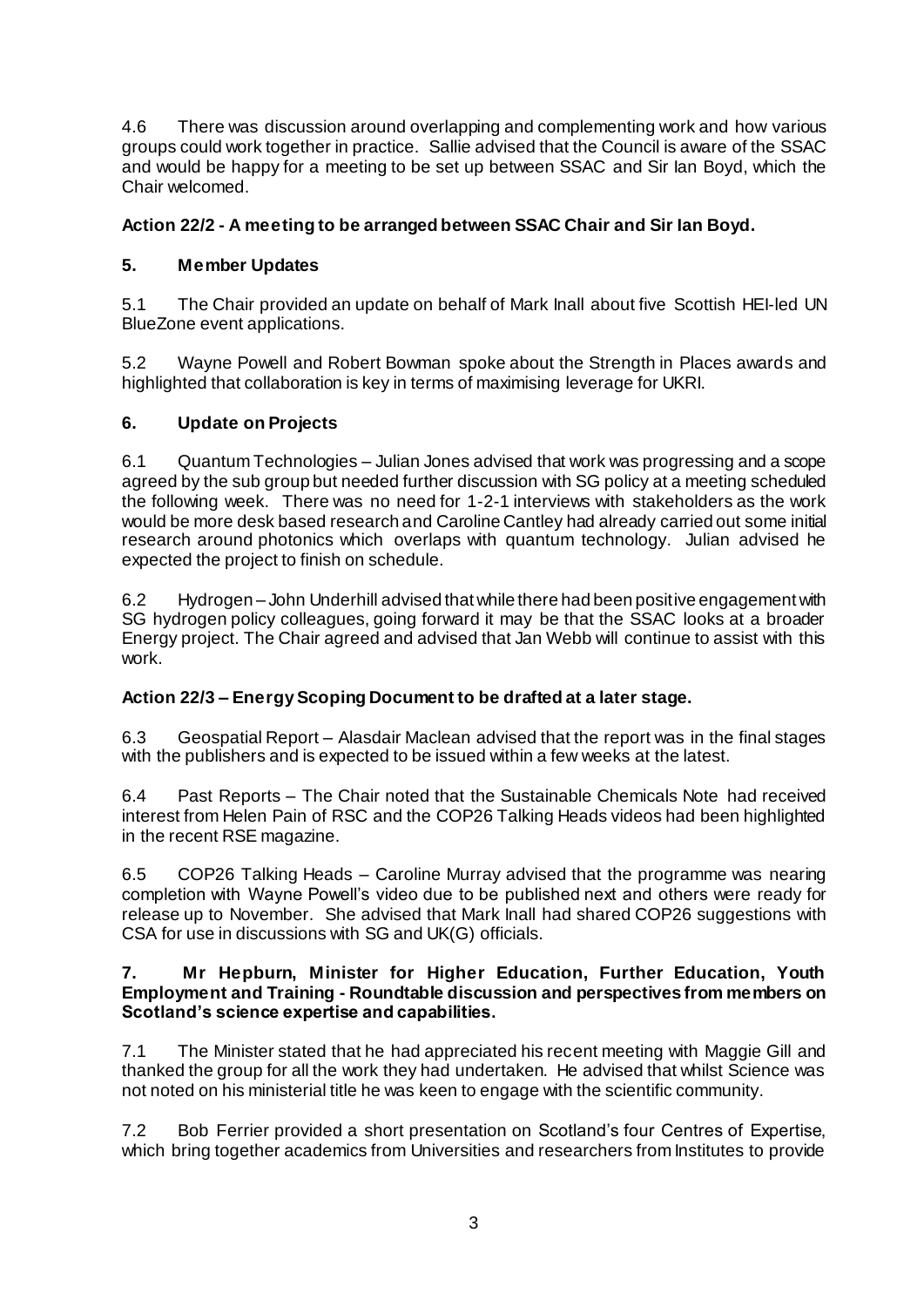4.6 There was discussion around overlapping and complementing work and how various groups could work together in practice. Sallie advised that the Council is aware of the SSAC and would be happy for a meeting to be set up between SSAC and Sir Ian Boyd, which the Chair welcomed.

# **Action 22/2 - A meeting to be arranged between SSAC Chair and Sir Ian Boyd.**

# **5. Member Updates**

5.1 The Chair provided an update on behalf of Mark Inall about five Scottish HEI-led UN BlueZone event applications.

5.2 Wayne Powell and Robert Bowman spoke about the Strength in Places awards and highlighted that collaboration is key in terms of maximising leverage for UKRI.

# **6. Update on Projects**

6.1 Quantum Technologies – Julian Jones advised that work was progressing and a scope agreed by the sub group but needed further discussion with SG policy at a meeting scheduled the following week. There was no need for 1-2-1 interviews with stakeholders as the work would be more desk based research and Caroline Cantley had already carried out some initial research around photonics which overlaps with quantum technology. Julian advised he expected the project to finish on schedule.

6.2 Hydrogen – John Underhill advised that while there had been positive engagement with SG hydrogen policy colleagues, going forward it may be that the SSAC looks at a broader Energy project. The Chair agreed and advised that Jan Webb will continue to assist with this work.

# **Action 22/3 – Energy Scoping Document to be drafted at a later stage.**

6.3 Geospatial Report – Alasdair Maclean advised that the report was in the final stages with the publishers and is expected to be issued within a few weeks at the latest.

6.4 Past Reports – The Chair noted that the Sustainable Chemicals Note had received interest from Helen Pain of RSC and the COP26 Talking Heads videos had been highlighted in the recent RSE magazine.

6.5 COP26 Talking Heads – Caroline Murray advised that the programme was nearing completion with Wayne Powell's video due to be published next and others were ready for release up to November. She advised that Mark Inall had shared COP26 suggestions with CSA for use in discussions with SG and UK(G) officials.

# **7. Mr Hepburn, Minister for Higher Education, Further Education, Youth Employment and Training - Roundtable discussion and perspectives from members on Scotland's science expertise and capabilities.**

7.1 The Minister stated that he had appreciated his recent meeting with Maggie Gill and thanked the group for all the work they had undertaken. He advised that whilst Science was not noted on his ministerial title he was keen to engage with the scientific community.

7.2 Bob Ferrier provided a short presentation on Scotland's four Centres of Expertise, which bring together academics from Universities and researchers from Institutes to provide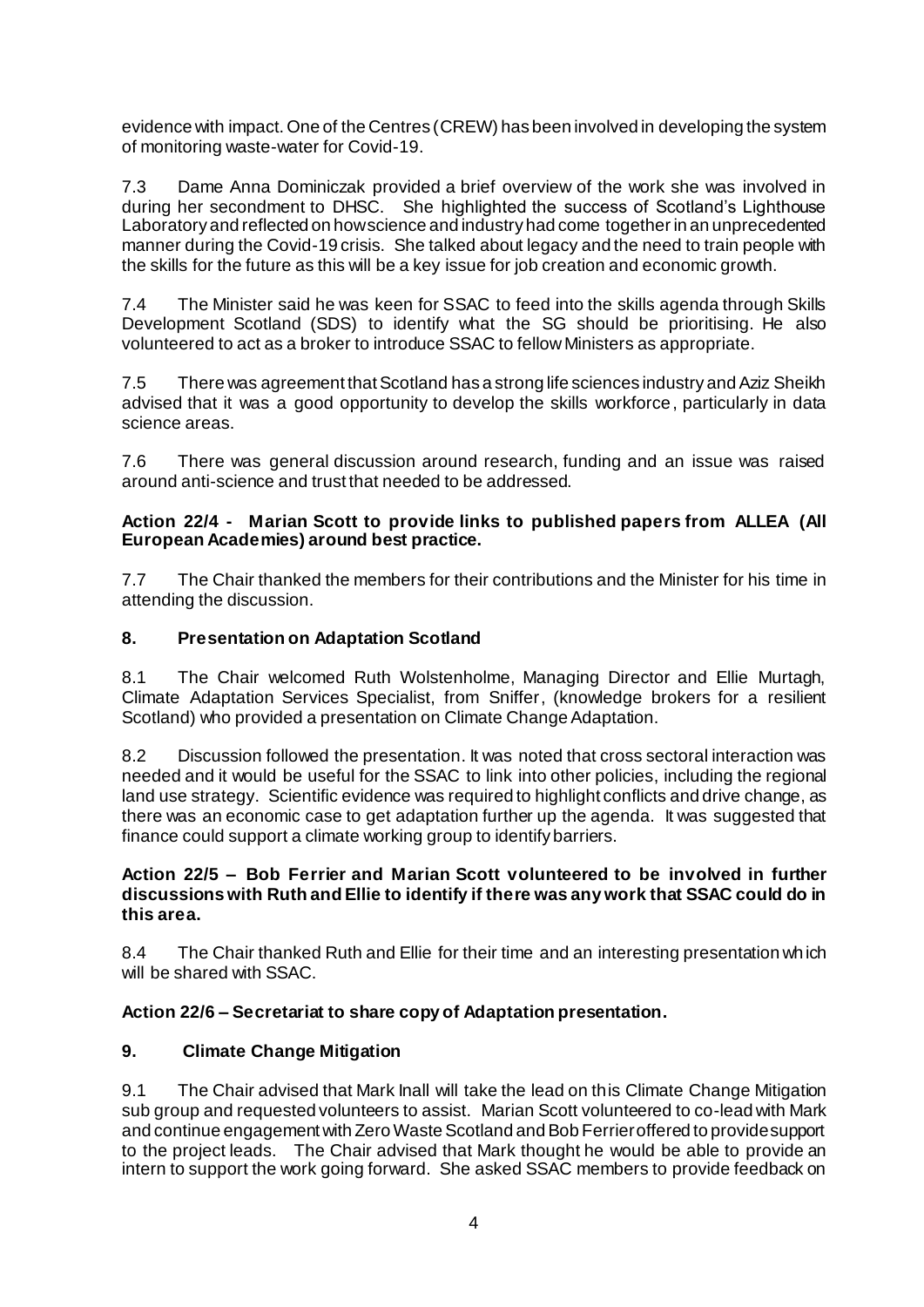evidence with impact. One of the Centres (CREW) has been involved in developing the system of monitoring waste-water for Covid-19.

7.3 Dame Anna Dominiczak provided a brief overview of the work she was involved in during her secondment to DHSC. She highlighted the success of Scotland's Lighthouse Laboratory and reflected on how science and industry had come together in an unprecedented manner during the Covid-19 crisis. She talked about legacy and the need to train people with the skills for the future as this will be a key issue for job creation and economic growth.

7.4 The Minister said he was keen for SSAC to feed into the skills agenda through Skills Development Scotland (SDS) to identify what the SG should be prioritising. He also volunteered to act as a broker to introduce SSAC to fellow Ministers as appropriate.

7.5 There was agreement that Scotland has a strong life sciences industry and Aziz Sheikh advised that it was a good opportunity to develop the skills workforce, particularly in data science areas.

7.6 There was general discussion around research, funding and an issue was raised around anti-science and trust that needed to be addressed.

# **Action 22/4 - Marian Scott to provide links to published papers from ALLEA (All European Academies) around best practice.**

7.7 The Chair thanked the members for their contributions and the Minister for his time in attending the discussion.

# **8. Presentation on Adaptation Scotland**

8.1 The Chair welcomed Ruth Wolstenholme, Managing Director and Ellie Murtagh, Climate Adaptation Services Specialist, from Sniffer, (knowledge brokers for a resilient Scotland) who provided a presentation on Climate Change Adaptation.

8.2 Discussion followed the presentation. It was noted that cross sectoral interaction was needed and it would be useful for the SSAC to link into other policies, including the regional land use strategy. Scientific evidence was required to highlight conflicts and drive change, as there was an economic case to get adaptation further up the agenda. It was suggested that finance could support a climate working group to identify barriers.

# **Action 22/5 – Bob Ferrier and Marian Scott volunteered to be involved in further discussions with Ruth and Ellie to identify if there was any work that SSAC could do in this area.**

8.4 The Chair thanked Ruth and Ellie for their time and an interesting presentation which will be shared with SSAC.

# **Action 22/6 – Secretariat to share copy of Adaptation presentation.**

# **9. Climate Change Mitigation**

9.1 The Chair advised that Mark Inall will take the lead on this Climate Change Mitigation sub group and requested volunteers to assist. Marian Scott volunteered to co-lead with Mark and continue engagement with Zero Waste Scotland and Bob Ferrier offered to provide support to the project leads. The Chair advised that Mark thought he would be able to provide an intern to support the work going forward. She asked SSAC members to provide feedback on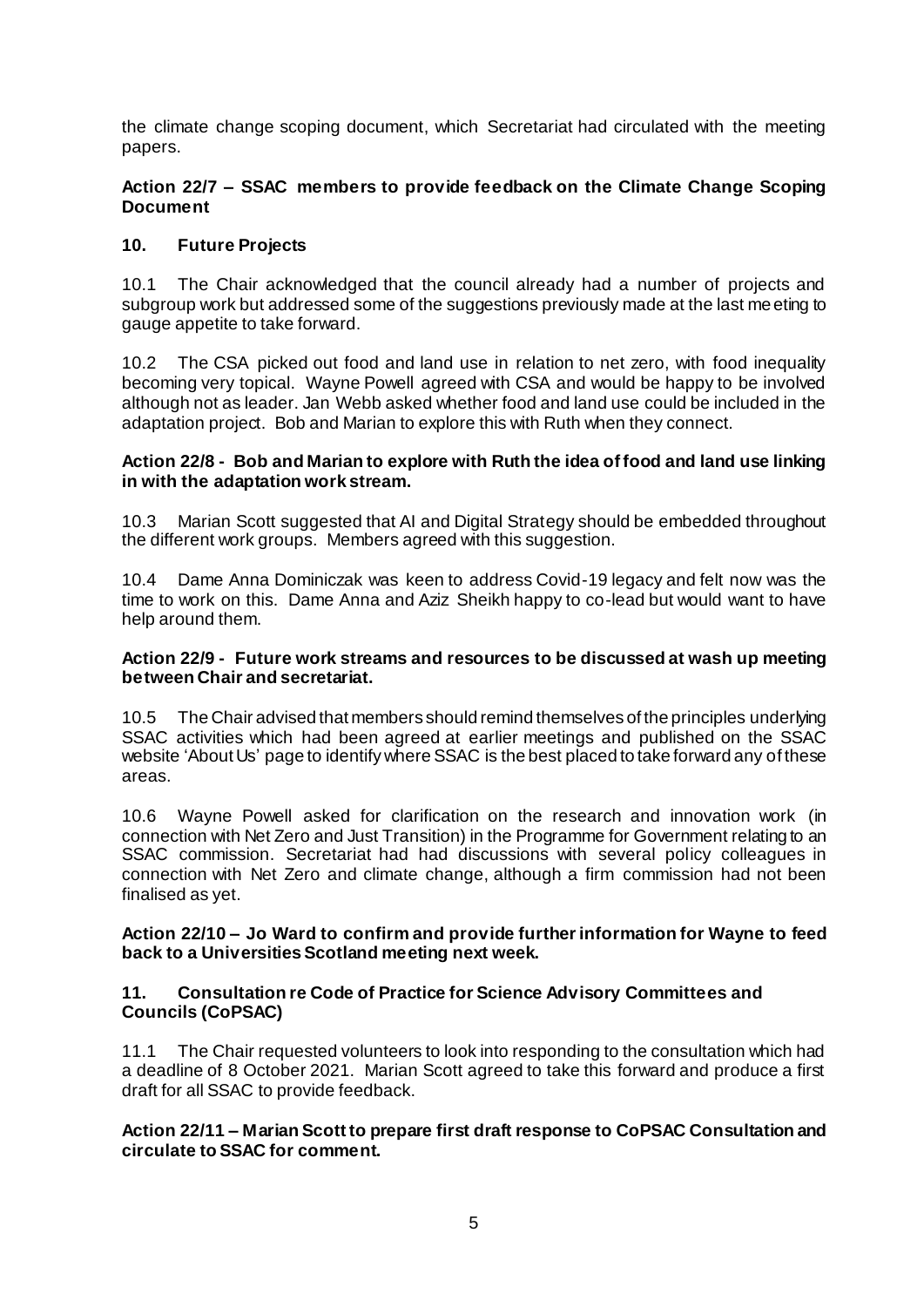the climate change scoping document, which Secretariat had circulated with the meeting papers.

## **Action 22/7 – SSAC members to provide feedback on the Climate Change Scoping Document**

# **10. Future Projects**

10.1 The Chair acknowledged that the council already had a number of projects and subgroup work but addressed some of the suggestions previously made at the last meeting to gauge appetite to take forward.

10.2 The CSA picked out food and land use in relation to net zero, with food inequality becoming very topical. Wayne Powell agreed with CSA and would be happy to be involved although not as leader. Jan Webb asked whether food and land use could be included in the adaptation project. Bob and Marian to explore this with Ruth when they connect.

#### **Action 22/8 - Bob and Marian to explore with Ruth the idea of food and land use linking in with the adaptation work stream.**

10.3 Marian Scott suggested that AI and Digital Strategy should be embedded throughout the different work groups. Members agreed with this suggestion.

10.4 Dame Anna Dominiczak was keen to address Covid-19 legacy and felt now was the time to work on this. Dame Anna and Aziz Sheikh happy to co-lead but would want to have help around them.

# **Action 22/9 - Future work streams and resources to be discussed at wash up meeting between Chair and secretariat.**

10.5 The Chair advised that members should remind themselves of the principles underlying SSAC activities which had been agreed at earlier meetings and published on the SSAC website 'About Us' page to identify where SSAC is the best placed to take forward any of these areas.

10.6 Wayne Powell asked for clarification on the research and innovation work (in connection with Net Zero and Just Transition) in the Programme for Government relating to an SSAC commission. Secretariat had had discussions with several policy colleagues in connection with Net Zero and climate change, although a firm commission had not been finalised as yet.

#### **Action 22/10 – Jo Ward to confirm and provide further information for Wayne to feed back to a Universities Scotland meeting next week.**

# **11. Consultation re Code of Practice for Science Advisory Committees and Councils (CoPSAC)**

11.1 The Chair requested volunteers to look into responding to the consultation which had a deadline of 8 October 2021. Marian Scott agreed to take this forward and produce a first draft for all SSAC to provide feedback.

# **Action 22/11 – Marian Scott to prepare first draft response to CoPSAC Consultation and circulate to SSAC for comment.**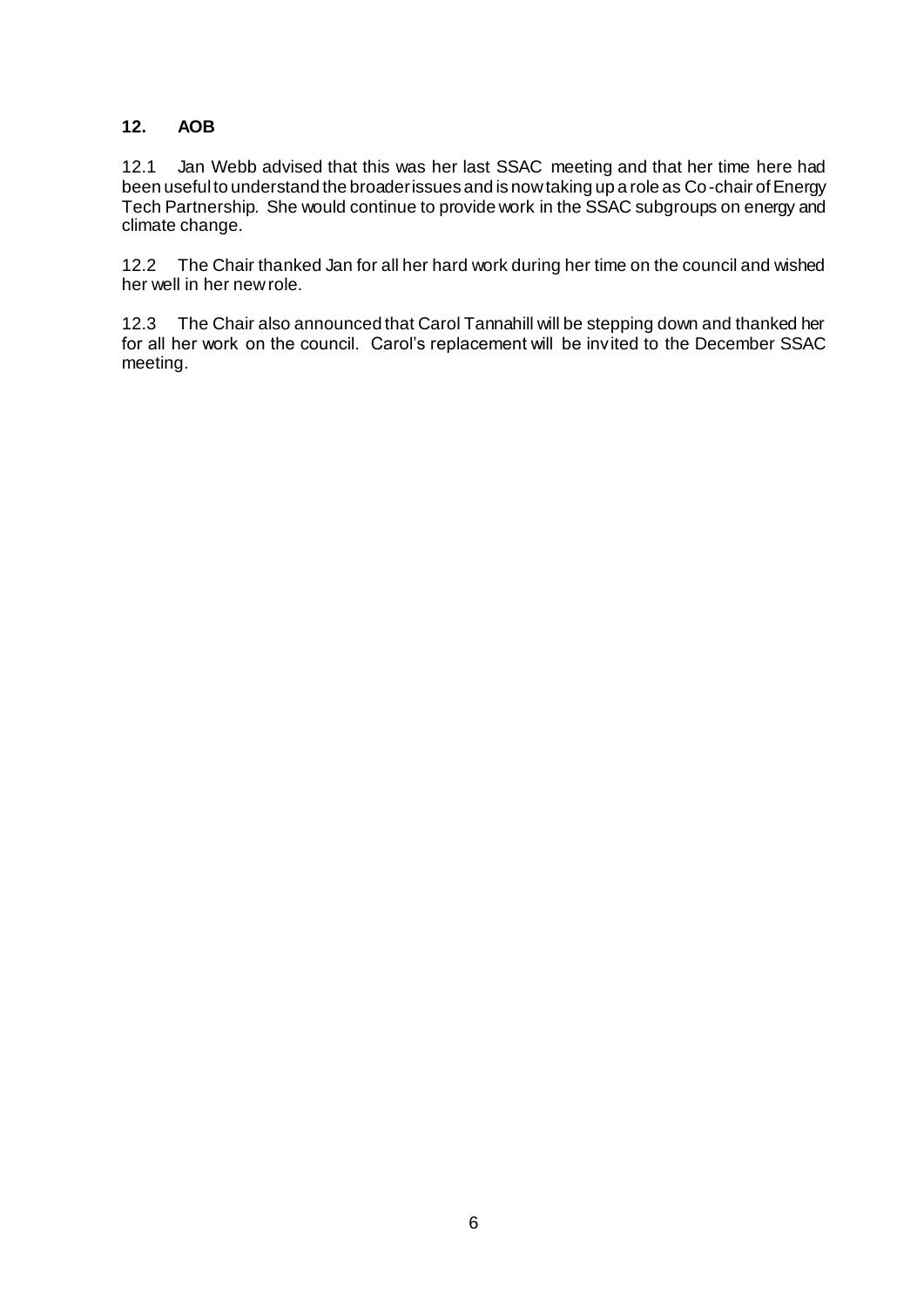# **12. AOB**

12.1 Jan Webb advised that this was her last SSAC meeting and that her time here had been useful to understand the broader issues and is now taking up a role as Co-chair of Energy Tech Partnership. She would continue to provide work in the SSAC subgroups on energy and climate change.

12.2 The Chair thanked Jan for all her hard work during her time on the council and wished her well in her new role.

12.3 The Chair also announced that Carol Tannahill will be stepping down and thanked her for all her work on the council. Carol's replacement will be invited to the December SSAC meeting.